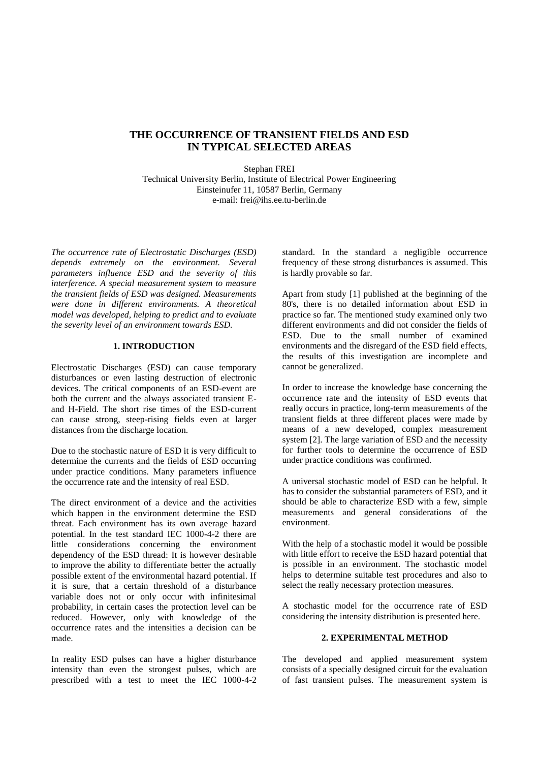# **THE OCCURRENCE OF TRANSIENT FIELDS AND ESD IN TYPICAL SELECTED AREAS**

Stephan FREI Technical University Berlin, Institute of Electrical Power Engineering Einsteinufer 11, 10587 Berlin, Germany e-mail: frei@ihs.ee.tu-berlin.de

*The occurrence rate of Electrostatic Discharges (ESD) depends extremely on the environment. Several parameters influence ESD and the severity of this interference. A special measurement system to measure the transient fields of ESD was designed. Measurements were done in different environments. A theoretical model was developed, helping to predict and to evaluate the severity level of an environment towards ESD.*

## **1. INTRODUCTION**

Electrostatic Discharges (ESD) can cause temporary disturbances or even lasting destruction of electronic devices. The critical components of an ESD-event are both the current and the always associated transient Eand H-Field. The short rise times of the ESD-current can cause strong, steep-rising fields even at larger distances from the discharge location.

Due to the stochastic nature of ESD it is very difficult to determine the currents and the fields of ESD occurring under practice conditions. Many parameters influence the occurrence rate and the intensity of real ESD.

The direct environment of a device and the activities which happen in the environment determine the ESD threat. Each environment has its own average hazard potential. In the test standard IEC 1000-4-2 there are little considerations concerning the environment dependency of the ESD thread: It is however desirable to improve the ability to differentiate better the actually possible extent of the environmental hazard potential. If it is sure, that a certain threshold of a disturbance variable does not or only occur with infinitesimal probability, in certain cases the protection level can be reduced. However, only with knowledge of the occurrence rates and the intensities a decision can be made.

In reality ESD pulses can have a higher disturbance intensity than even the strongest pulses, which are prescribed with a test to meet the IEC 1000-4-2 standard. In the standard a negligible occurrence frequency of these strong disturbances is assumed. This is hardly provable so far.

Apart from study [1] published at the beginning of the 80's, there is no detailed information about ESD in practice so far. The mentioned study examined only two different environments and did not consider the fields of ESD. Due to the small number of examined environments and the disregard of the ESD field effects, the results of this investigation are incomplete and cannot be generalized.

In order to increase the knowledge base concerning the occurrence rate and the intensity of ESD events that really occurs in practice, long-term measurements of the transient fields at three different places were made by means of a new developed, complex measurement system [2]. The large variation of ESD and the necessity for further tools to determine the occurrence of ESD under practice conditions was confirmed.

A universal stochastic model of ESD can be helpful. It has to consider the substantial parameters of ESD, and it should be able to characterize ESD with a few, simple measurements and general considerations of the environment.

With the help of a stochastic model it would be possible with little effort to receive the ESD hazard potential that is possible in an environment. The stochastic model helps to determine suitable test procedures and also to select the really necessary protection measures.

A stochastic model for the occurrence rate of ESD considering the intensity distribution is presented here.

## **2. EXPERIMENTAL METHOD**

The developed and applied measurement system consists of a specially designed circuit for the evaluation of fast transient pulses. The measurement system is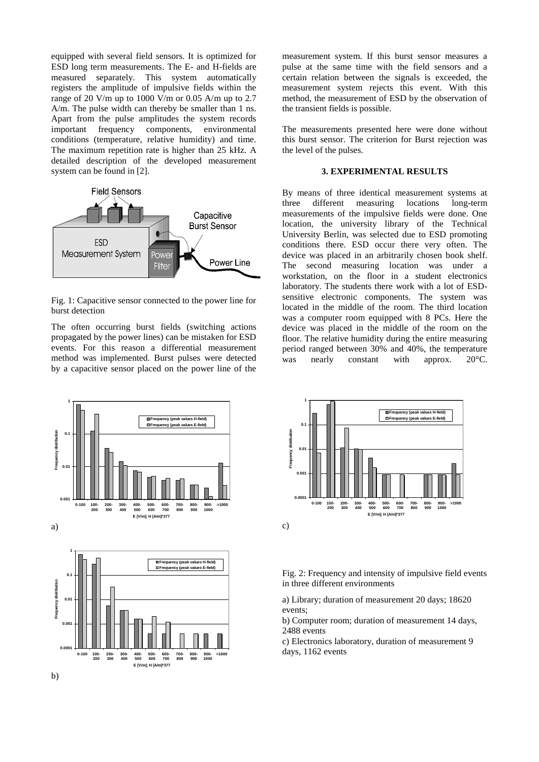equipped with several field sensors. It is optimized for ESD long term measurements. The E- and H-fields are measured separately. This system automatically registers the amplitude of impulsive fields within the range of 20 V/m up to 1000 V/m or 0.05 A/m up to 2.7 A/m. The pulse width can thereby be smaller than 1 ns. Apart from the pulse amplitudes the system records important frequency components, environmental conditions (temperature, relative humidity) and time. The maximum repetition rate is higher than 25 kHz. A detailed description of the developed measurement system can be found in [2].



Fig. 1: Capacitive sensor connected to the power line for burst detection

The often occurring burst fields (switching actions propagated by the power lines) can be mistaken for ESD events. For this reason a differential measurement method was implemented. Burst pulses were detected by a capacitive sensor placed on the power line of the



measurement system. If this burst sensor measures a pulse at the same time with the field sensors and a certain relation between the signals is exceeded, the measurement system rejects this event. With this method, the measurement of ESD by the observation of the transient fields is possible.

The measurements presented here were done without this burst sensor. The criterion for Burst rejection was the level of the pulses.

# **3. EXPERIMENTAL RESULTS**

By means of three identical measurement systems at three different measuring locations long-term measurements of the impulsive fields were done. One location, the university library of the Technical University Berlin, was selected due to ESD promoting conditions there. ESD occur there very often. The device was placed in an arbitrarily chosen book shelf. The second measuring location was under a workstation, on the floor in a student electronics laboratory. The students there work with a lot of ESDsensitive electronic components. The system was located in the middle of the room. The third location was a computer room equipped with 8 PCs. Here the device was placed in the middle of the room on the floor. The relative humidity during the entire measuring period ranged between 30% and 40%, the temperature was nearly constant with approx. 20°C.



Fig. 2: Frequency and intensity of impulsive field events in three different environments

a) Library; duration of measurement 20 days; 18620 events;

b) Computer room; duration of measurement 14 days, 2488 events

c) Electronics laboratory, duration of measurement 9 days, 1162 events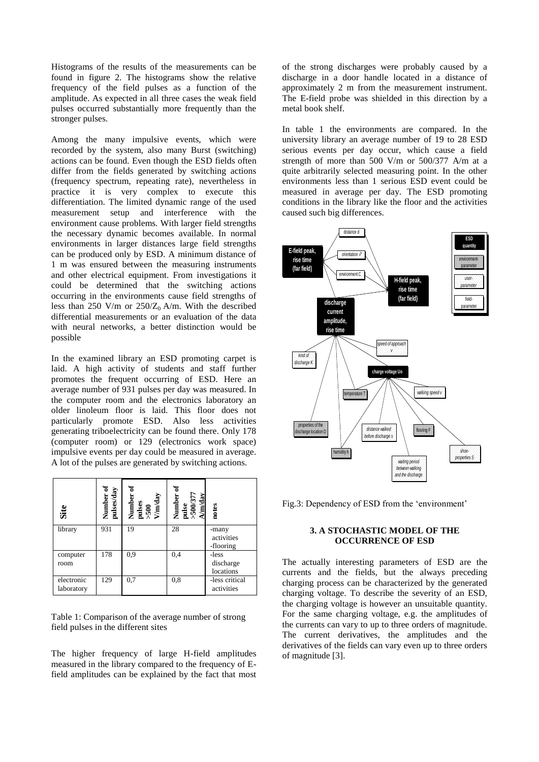Histograms of the results of the measurements can be found in figure 2. The histograms show the relative frequency of the field pulses as a function of the amplitude. As expected in all three cases the weak field pulses occurred substantially more frequently than the stronger pulses.

Among the many impulsive events, which were recorded by the system, also many Burst (switching) actions can be found. Even though the ESD fields often differ from the fields generated by switching actions (frequency spectrum, repeating rate), nevertheless in practice it is very complex to execute this differentiation. The limited dynamic range of the used measurement setup and interference with the environment cause problems. With larger field strengths the necessary dynamic becomes available. In normal environments in larger distances large field strengths can be produced only by ESD. A minimum distance of 1 m was ensured between the measuring instruments and other electrical equipment. From investigations it could be determined that the switching actions occurring in the environments cause field strengths of less than 250 V/m or  $250/Z_0$  A/m. With the described differential measurements or an evaluation of the data with neural networks, a better distinction would be possible

In the examined library an ESD promoting carpet is laid. A high activity of students and staff further promotes the frequent occurring of ESD. Here an average number of 931 pulses per day was measured. In the computer room and the electronics laboratory an older linoleum floor is laid. This floor does not particularly promote ESD. Also less activities generating triboelectricity can be found there. Only 178 (computer room) or 129 (electronics work space) impulsive events per day could be measured in average. A lot of the pulses are generated by switching actions.

| Site                     | pulses/day<br>Number | Number<br>pulses<br>>500<br>V/m/day | Number<br>pulse<br>>500/377<br>A/m/day | notes                            |
|--------------------------|----------------------|-------------------------------------|----------------------------------------|----------------------------------|
| library                  | 931                  | 19                                  | 28                                     | -many<br>activities<br>-flooring |
| computer<br>room         | 178                  | 0.9                                 | 0,4                                    | -less<br>discharge<br>locations  |
| electronic<br>laboratory | 129                  | 0,7                                 | 0,8                                    | -less critical<br>activities     |

Table 1: Comparison of the average number of strong field pulses in the different sites

The higher frequency of large H-field amplitudes measured in the library compared to the frequency of Efield amplitudes can be explained by the fact that most of the strong discharges were probably caused by a discharge in a door handle located in a distance of approximately 2 m from the measurement instrument. The E-field probe was shielded in this direction by a metal book shelf.

In table 1 the environments are compared. In the university library an average number of 19 to 28 ESD serious events per day occur, which cause a field strength of more than 500 V/m or 500/377 A/m at a quite arbitrarily selected measuring point. In the other environments less than 1 serious ESD event could be measured in average per day. The ESD promoting conditions in the library like the floor and the activities caused such big differences.



Fig.3: Dependency of ESD from the 'environment'

## **3. A STOCHASTIC MODEL OF THE OCCURRENCE OF ESD**

The actually interesting parameters of ESD are the currents and the fields, but the always preceding charging process can be characterized by the generated charging voltage. To describe the severity of an ESD, the charging voltage is however an unsuitable quantity. For the same charging voltage, e.g. the amplitudes of the currents can vary to up to three orders of magnitude. The current derivatives, the amplitudes and the derivatives of the fields can vary even up to three orders of magnitude [3].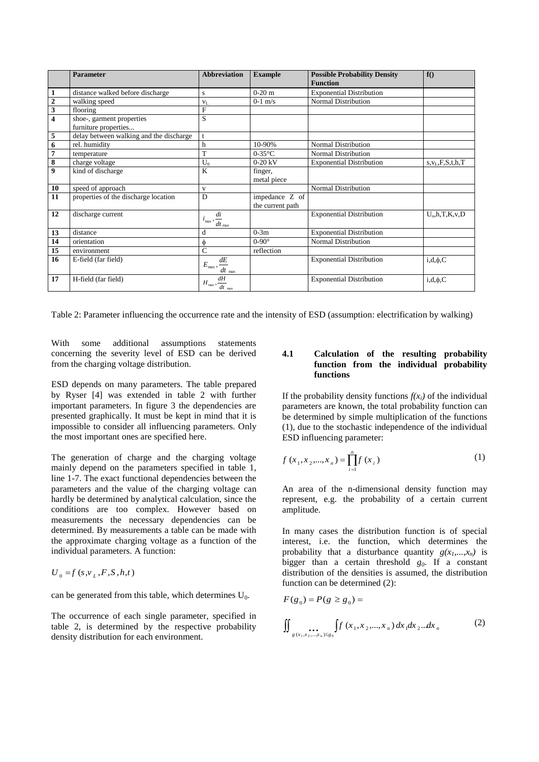|                         | <b>Parameter</b>                                  | <b>Abbreviation</b>                                             | <b>Example</b>                     | <b>Possible Probability Density</b><br><b>Function</b> | f()                     |
|-------------------------|---------------------------------------------------|-----------------------------------------------------------------|------------------------------------|--------------------------------------------------------|-------------------------|
| $\mathbf{1}$            | distance walked before discharge                  | S                                                               | $0-20$ m                           | <b>Exponential Distribution</b>                        |                         |
| $\overline{2}$          | walking speed                                     | $V_L$                                                           | $0-1$ m/s                          | Normal Distribution                                    |                         |
| $\overline{\mathbf{3}}$ | flooring                                          | F                                                               |                                    |                                                        |                         |
| $\overline{\mathbf{4}}$ | shoe-, garment properties<br>furniture properties | S                                                               |                                    |                                                        |                         |
| $\overline{5}$          | delay between walking and the discharge           | $\mathbf{t}$                                                    |                                    |                                                        |                         |
| $\overline{6}$          | rel. humidity                                     | h                                                               | 10-90%                             | Normal Distribution                                    |                         |
| $\overline{7}$          | temperature                                       | T                                                               | $0-35$ °C                          | Normal Distribution                                    |                         |
| $\overline{\mathbf{8}}$ | charge voltage                                    | $U_0$                                                           | $0-20$ kV                          | <b>Exponential Distribution</b>                        | $s, v_L, F, S, t, h, T$ |
| $\overline{9}$          | kind of discharge                                 | K                                                               | finger,<br>metal piece             |                                                        |                         |
| 10                      | speed of approach                                 | $\mathbf{V}$                                                    |                                    | Normal Distribution                                    |                         |
| 11                      | properties of the discharge location              | D                                                               | impedance Z of<br>the current path |                                                        |                         |
| 12                      | discharge current                                 | di<br>$i_{\text{max}}$ ,<br>$\frac{1}{dt}$ <sub>max</sub>       |                                    | <b>Exponential Distribution</b>                        | $U_0$ , h, T, K, v, D   |
| 13                      | distance                                          | d                                                               | $0-3m$                             | <b>Exponential Distribution</b>                        |                         |
| 14                      | orientation                                       | φ                                                               | $0-90^\circ$                       | Normal Distribution                                    |                         |
| 15                      | environment                                       | Ċ                                                               | reflection                         |                                                        |                         |
| 16                      | E-field (far field)                               | $E_{\rm max},\frac{dE}{dt}_{\rm max}$                           |                                    | <b>Exponential Distribution</b>                        | $i,d,\phi,C$            |
| 17                      | H-field (far field)                               | dH<br>$H_{\text{max}}, \frac{dH_{\text{max}}}{dt_{\text{max}}}$ |                                    | <b>Exponential Distribution</b>                        | $i,d,\phi,C$            |

Table 2: Parameter influencing the occurrence rate and the intensity of ESD (assumption: electrification by walking)

With some additional assumptions statements concerning the severity level of ESD can be derived from the charging voltage distribution.

ESD depends on many parameters. The table prepared by Ryser [4] was extended in table 2 with further important parameters. In figure 3 the dependencies are presented graphically. It must be kept in mind that it is impossible to consider all influencing parameters. Only the most important ones are specified here.

The generation of charge and the charging voltage mainly depend on the parameters specified in table 1, line 1-7. The exact functional dependencies between the parameters and the value of the charging voltage can hardly be determined by analytical calculation, since the conditions are too complex. However based on measurements the necessary dependencies can be determined. By measurements a table can be made with the approximate charging voltage as a function of the individual parameters. A function:

 $U_0 = f(s, v_L, F, S, h, t)$ 

can be generated from this table, which determines  $U_0$ .

The occurrence of each single parameter, specified in table 2, is determined by the respective probability density distribution for each environment.

## **4.1 Calculation of the resulting probability function from the individual probability functions**

If the probability density functions  $f(x_i)$  of the individual parameters are known, the total probability function can be determined by simple multiplication of the functions (1), due to the stochastic independence of the individual ESD influencing parameter:

$$
f(x_1, x_2, ..., x_n) = \prod_{i=1}^n f(x_i)
$$
 (1)

An area of the n-dimensional density function may represent, e.g. the probability of a certain current amplitude.

In many cases the distribution function is of special interest, i.e. the function, which determines the probability that a disturbance quantity  $g(x_1,...,x_n)$  is bigger than a certain threshold  $g_0$ . If a constant distribution of the densities is assumed, the distribution function can be determined (2):

$$
F(g_0) = P(g \ge g_0) =
$$
  

$$
\iint_{g(x_1, x_2, ..., x_n) \le g_0} f(x_1, x_2, ..., x_n) dx_1 dx_2...dx_n
$$
 (2)